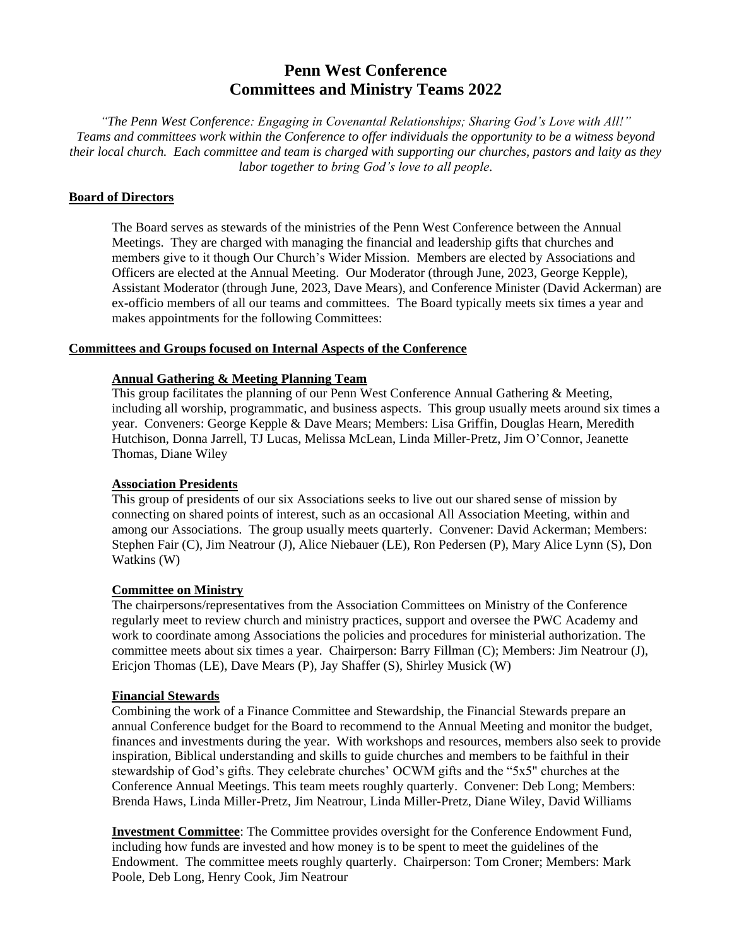# **Penn West Conference Committees and Ministry Teams 2022**

*"The Penn West Conference: Engaging in Covenantal Relationships; Sharing God's Love with All!" Teams and committees work within the Conference to offer individuals the opportunity to be a witness beyond their local church. Each committee and team is charged with supporting our churches, pastors and laity as they labor together to bring God's love to all people.*

## **Board of Directors**

The Board serves as stewards of the ministries of the Penn West Conference between the Annual Meetings. They are charged with managing the financial and leadership gifts that churches and members give to it though Our Church's Wider Mission. Members are elected by Associations and Officers are elected at the Annual Meeting. Our Moderator (through June, 2023, George Kepple), Assistant Moderator (through June, 2023, Dave Mears), and Conference Minister (David Ackerman) are ex-officio members of all our teams and committees. The Board typically meets six times a year and makes appointments for the following Committees:

## **Committees and Groups focused on Internal Aspects of the Conference**

## **Annual Gathering & Meeting Planning Team**

This group facilitates the planning of our Penn West Conference Annual Gathering & Meeting, including all worship, programmatic, and business aspects. This group usually meets around six times a year. Conveners: George Kepple & Dave Mears; Members: Lisa Griffin, Douglas Hearn, Meredith Hutchison, Donna Jarrell, TJ Lucas, Melissa McLean, Linda Miller-Pretz, Jim O'Connor, Jeanette Thomas, Diane Wiley

## **Association Presidents**

This group of presidents of our six Associations seeks to live out our shared sense of mission by connecting on shared points of interest, such as an occasional All Association Meeting, within and among our Associations. The group usually meets quarterly. Convener: David Ackerman; Members: Stephen Fair (C), Jim Neatrour (J), Alice Niebauer (LE), Ron Pedersen (P), Mary Alice Lynn (S), Don Watkins (W)

#### **Committee on Ministry**

The chairpersons/representatives from the Association Committees on Ministry of the Conference regularly meet to review church and ministry practices, support and oversee the PWC Academy and work to coordinate among Associations the policies and procedures for ministerial authorization. The committee meets about six times a year. Chairperson: Barry Fillman (C); Members: Jim Neatrour (J), Ericjon Thomas (LE), Dave Mears (P), Jay Shaffer (S), Shirley Musick (W)

## **Financial Stewards**

Combining the work of a Finance Committee and Stewardship, the Financial Stewards prepare an annual Conference budget for the Board to recommend to the Annual Meeting and monitor the budget, finances and investments during the year. With workshops and resources, members also seek to provide inspiration, Biblical understanding and skills to guide churches and members to be faithful in their stewardship of God's gifts. They celebrate churches' OCWM gifts and the "5x5" churches at the Conference Annual Meetings. This team meets roughly quarterly. Convener: Deb Long; Members: Brenda Haws, Linda Miller-Pretz, Jim Neatrour, Linda Miller-Pretz, Diane Wiley, David Williams

**Investment Committee**: The Committee provides oversight for the Conference Endowment Fund, including how funds are invested and how money is to be spent to meet the guidelines of the Endowment. The committee meets roughly quarterly. Chairperson: Tom Croner; Members: Mark Poole, Deb Long, Henry Cook, Jim Neatrour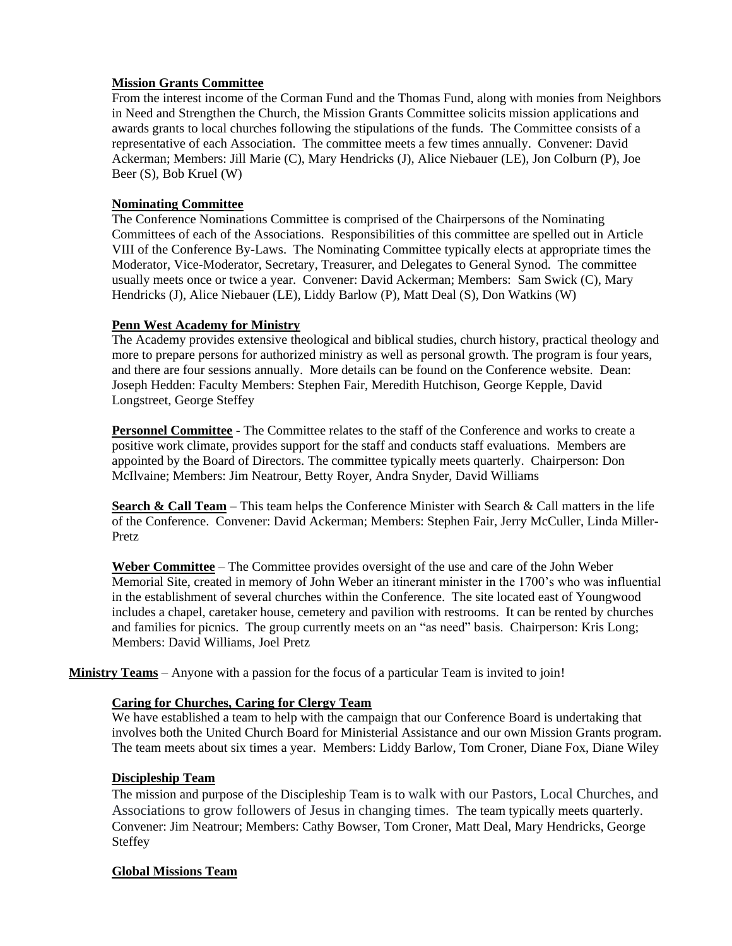## **Mission Grants Committee**

From the interest income of the Corman Fund and the Thomas Fund, along with monies from Neighbors in Need and Strengthen the Church, the Mission Grants Committee solicits mission applications and awards grants to local churches following the stipulations of the funds. The Committee consists of a representative of each Association. The committee meets a few times annually. Convener: David Ackerman; Members: Jill Marie (C), Mary Hendricks (J), Alice Niebauer (LE), Jon Colburn (P), Joe Beer (S), Bob Kruel (W)

#### **Nominating Committee**

The Conference Nominations Committee is comprised of the Chairpersons of the Nominating Committees of each of the Associations. Responsibilities of this committee are spelled out in Article VIII of the Conference By-Laws. The Nominating Committee typically elects at appropriate times the Moderator, Vice-Moderator, Secretary, Treasurer, and Delegates to General Synod. The committee usually meets once or twice a year. Convener: David Ackerman; Members: Sam Swick (C), Mary Hendricks (J), Alice Niebauer (LE), Liddy Barlow (P), Matt Deal (S), Don Watkins (W)

## **Penn West Academy for Ministry**

The Academy provides extensive theological and biblical studies, church history, practical theology and more to prepare persons for authorized ministry as well as personal growth. The program is four years, and there are four sessions annually. More details can be found on the Conference website. Dean: Joseph Hedden: Faculty Members: Stephen Fair, Meredith Hutchison, George Kepple, David Longstreet, George Steffey

**Personnel Committee** - The Committee relates to the staff of the Conference and works to create a positive work climate, provides support for the staff and conducts staff evaluations. Members are appointed by the Board of Directors. The committee typically meets quarterly. Chairperson: Don McIlvaine; Members: Jim Neatrour, Betty Royer, Andra Snyder, David Williams

**Search & Call Team** – This team helps the Conference Minister with Search & Call matters in the life of the Conference. Convener: David Ackerman; Members: Stephen Fair, Jerry McCuller, Linda Miller-Pretz

**Weber Committee** – The Committee provides oversight of the use and care of the John Weber Memorial Site, created in memory of John Weber an itinerant minister in the 1700's who was influential in the establishment of several churches within the Conference. The site located east of Youngwood includes a chapel, caretaker house, cemetery and pavilion with restrooms. It can be rented by churches and families for picnics. The group currently meets on an "as need" basis. Chairperson: Kris Long; Members: David Williams, Joel Pretz

**Ministry Teams** – Anyone with a passion for the focus of a particular Team is invited to join!

## **Caring for Churches, Caring for Clergy Team**

We have established a team to help with the campaign that our Conference Board is undertaking that involves both the United Church Board for Ministerial Assistance and our own Mission Grants program. The team meets about six times a year. Members: Liddy Barlow, Tom Croner, Diane Fox, Diane Wiley

## **Discipleship Team**

The mission and purpose of the Discipleship Team is to walk with our Pastors, Local Churches, and Associations to grow followers of Jesus in changing times. The team typically meets quarterly. Convener: Jim Neatrour; Members: Cathy Bowser, Tom Croner, Matt Deal, Mary Hendricks, George **Steffey** 

#### **Global Missions Team**